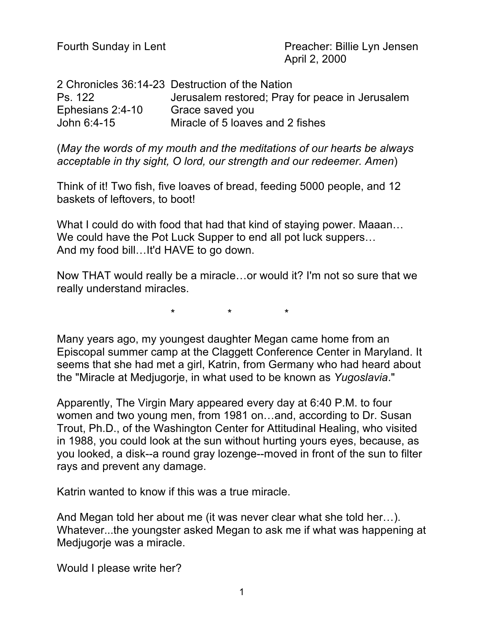Fourth Sunday in Lent **Preacher: Billie Lyn Jensen** April 2, 2000

2 Chronicles 36:14-23 Destruction of the Nation Ps. 122 Jerusalem restored; Pray for peace in Jerusalem Ephesians 2:4-10 Grace saved you John 6:4-15 Miracle of 5 loaves and 2 fishes

(*May the words of my mouth and the meditations of our hearts be always acceptable in thy sight, O lord, our strength and our redeemer. Amen*)

Think of it! Two fish, five loaves of bread, feeding 5000 people, and 12 baskets of leftovers, to boot!

What I could do with food that had that kind of staying power. Maaan... We could have the Pot Luck Supper to end all pot luck suppers… And my food bill…It'd HAVE to go down.

Now THAT would really be a miracle…or would it? I'm not so sure that we really understand miracles.

\* \* \*

Many years ago, my youngest daughter Megan came home from an Episcopal summer camp at the Claggett Conference Center in Maryland. It seems that she had met a girl, Katrin, from Germany who had heard about the "Miracle at Medjugorje, in what used to be known as *Yugoslavia*."

Apparently, The Virgin Mary appeared every day at 6:40 P.M. to four women and two young men, from 1981 on…and, according to Dr. Susan Trout, Ph.D., of the Washington Center for Attitudinal Healing, who visited in 1988, you could look at the sun without hurting yours eyes, because, as you looked, a disk--a round gray lozenge--moved in front of the sun to filter rays and prevent any damage.

Katrin wanted to know if this was a true miracle.

And Megan told her about me (it was never clear what she told her…). Whatever...the youngster asked Megan to ask me if what was happening at Medjugorje was a miracle.

Would I please write her?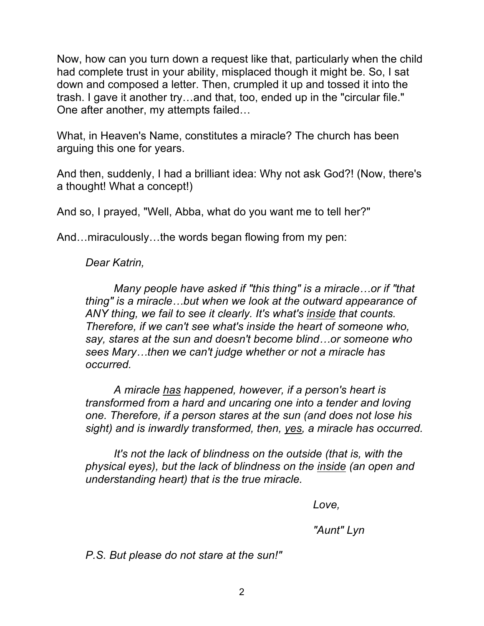Now, how can you turn down a request like that, particularly when the child had complete trust in your ability, misplaced though it might be. So, I sat down and composed a letter. Then, crumpled it up and tossed it into the trash. I gave it another try…and that, too, ended up in the "circular file." One after another, my attempts failed…

What, in Heaven's Name, constitutes a miracle? The church has been arguing this one for years.

And then, suddenly, I had a brilliant idea: Why not ask God?! (Now, there's a thought! What a concept!)

And so, I prayed, "Well, Abba, what do you want me to tell her?"

And…miraculously…the words began flowing from my pen:

*Dear Katrin,*

*Many people have asked if "this thing" is a miracle…or if "that thing" is a miracle…but when we look at the outward appearance of ANY thing, we fail to see it clearly. It's what's inside that counts. Therefore, if we can't see what's inside the heart of someone who, say, stares at the sun and doesn't become blind…or someone who sees Mary…then we can't judge whether or not a miracle has occurred.*

*A miracle has happened, however, if a person's heart is transformed from a hard and uncaring one into a tender and loving one. Therefore, if a person stares at the sun (and does not lose his sight) and is inwardly transformed, then, yes, a miracle has occurred.*

*It's not the lack of blindness on the outside (that is, with the physical eyes), but the lack of blindness on the inside (an open and understanding heart) that is the true miracle.*

*Love,*

*"Aunt" Lyn*

*P.S. But please do not stare at the sun!"*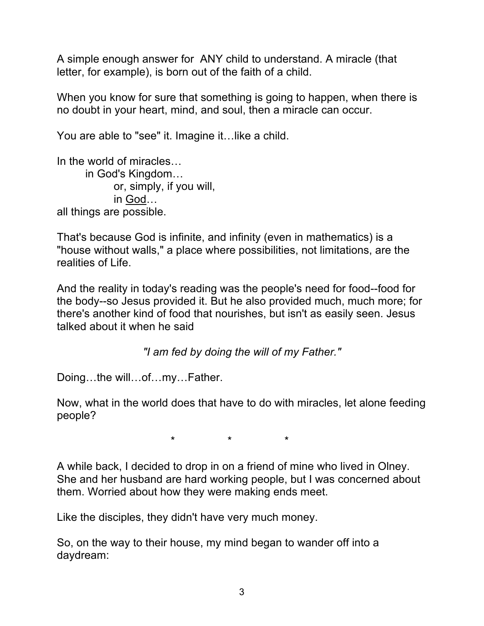A simple enough answer for ANY child to understand. A miracle (that letter, for example), is born out of the faith of a child.

When you know for sure that something is going to happen, when there is no doubt in your heart, mind, and soul, then a miracle can occur.

You are able to "see" it. Imagine it…like a child.

In the world of miracles… in God's Kingdom… or, simply, if you will, in God… all things are possible.

That's because God is infinite, and infinity (even in mathematics) is a "house without walls," a place where possibilities, not limitations, are the realities of Life.

And the reality in today's reading was the people's need for food--food for the body--so Jesus provided it. But he also provided much, much more; for there's another kind of food that nourishes, but isn't as easily seen. Jesus talked about it when he said

*"I am fed by doing the will of my Father."*

Doing…the will…of…my…Father.

Now, what in the world does that have to do with miracles, let alone feeding people?

\* \* \*

A while back, I decided to drop in on a friend of mine who lived in Olney. She and her husband are hard working people, but I was concerned about them. Worried about how they were making ends meet.

Like the disciples, they didn't have very much money.

So, on the way to their house, my mind began to wander off into a daydream: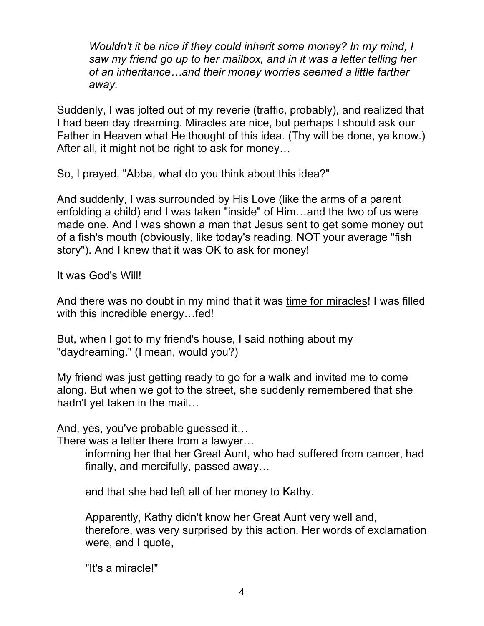*Wouldn't it be nice if they could inherit some money? In my mind, I saw my friend go up to her mailbox, and in it was a letter telling her of an inheritance…and their money worries seemed a little farther away.*

Suddenly, I was jolted out of my reverie (traffic, probably), and realized that I had been day dreaming. Miracles are nice, but perhaps I should ask our Father in Heaven what He thought of this idea. (Thy will be done, ya know.) After all, it might not be right to ask for money…

So, I prayed, "Abba, what do you think about this idea?"

And suddenly, I was surrounded by His Love (like the arms of a parent enfolding a child) and I was taken "inside" of Him…and the two of us were made one. And I was shown a man that Jesus sent to get some money out of a fish's mouth (obviously, like today's reading, NOT your average "fish story"). And I knew that it was OK to ask for money!

It was God's Will!

And there was no doubt in my mind that it was time for miracles! I was filled with this incredible energy...fed!

But, when I got to my friend's house, I said nothing about my "daydreaming." (I mean, would you?)

My friend was just getting ready to go for a walk and invited me to come along. But when we got to the street, she suddenly remembered that she hadn't yet taken in the mail…

And, yes, you've probable guessed it…

There was a letter there from a lawyer…

informing her that her Great Aunt, who had suffered from cancer, had finally, and mercifully, passed away…

and that she had left all of her money to Kathy.

Apparently, Kathy didn't know her Great Aunt very well and, therefore, was very surprised by this action. Her words of exclamation were, and I quote,

"It's a miracle!"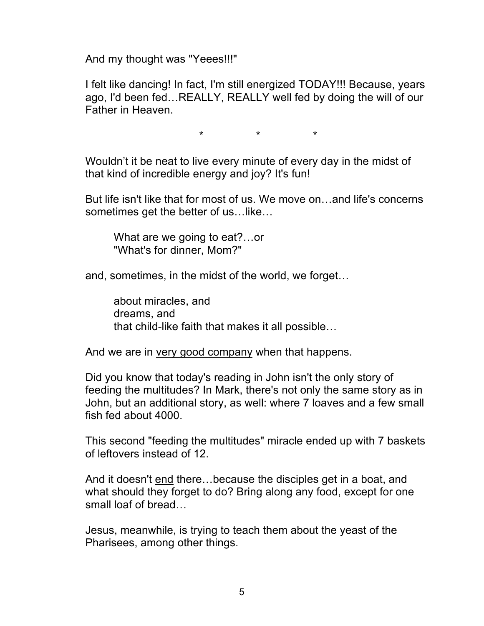And my thought was "Yeees!!!"

I felt like dancing! In fact, I'm still energized TODAY!!! Because, years ago, I'd been fed…REALLY, REALLY well fed by doing the will of our Father in Heaven.

\* \* \*

Wouldn't it be neat to live every minute of every day in the midst of that kind of incredible energy and joy? It's fun!

But life isn't like that for most of us. We move on…and life's concerns sometimes get the better of us…like…

What are we going to eat?…or "What's for dinner, Mom?"

and, sometimes, in the midst of the world, we forget…

about miracles, and dreams, and that child-like faith that makes it all possible…

And we are in very good company when that happens.

Did you know that today's reading in John isn't the only story of feeding the multitudes? In Mark, there's not only the same story as in John, but an additional story, as well: where 7 loaves and a few small fish fed about 4000.

This second "feeding the multitudes" miracle ended up with 7 baskets of leftovers instead of 12.

And it doesn't end there…because the disciples get in a boat, and what should they forget to do? Bring along any food, except for one small loaf of bread…

Jesus, meanwhile, is trying to teach them about the yeast of the Pharisees, among other things.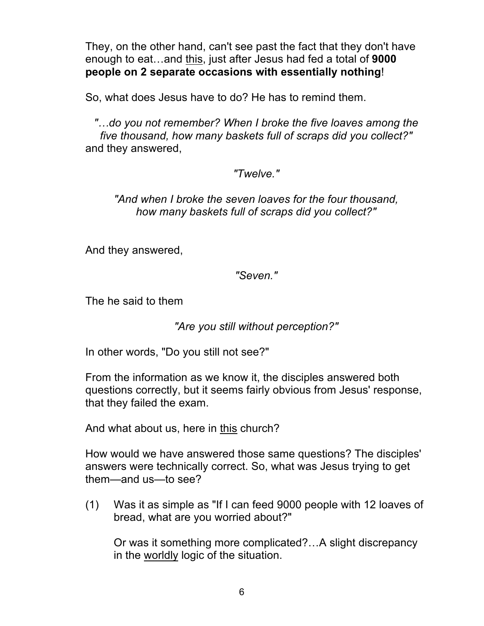They, on the other hand, can't see past the fact that they don't have enough to eat…and this, just after Jesus had fed a total of **9000 people on 2 separate occasions with essentially nothing**!

So, what does Jesus have to do? He has to remind them.

*"…do you not remember? When I broke the five loaves among the five thousand, how many baskets full of scraps did you collect?"* and they answered,

## *"Twelve."*

*"And when I broke the seven loaves for the four thousand, how many baskets full of scraps did you collect?"*

And they answered,

*"Seven."*

The he said to them

*"Are you still without perception?"*

In other words, "Do you still not see?"

From the information as we know it, the disciples answered both questions correctly, but it seems fairly obvious from Jesus' response, that they failed the exam.

And what about us, here in this church?

How would we have answered those same questions? The disciples' answers were technically correct. So, what was Jesus trying to get them—and us—to see?

(1) Was it as simple as "If I can feed 9000 people with 12 loaves of bread, what are you worried about?"

Or was it something more complicated?…A slight discrepancy in the worldly logic of the situation.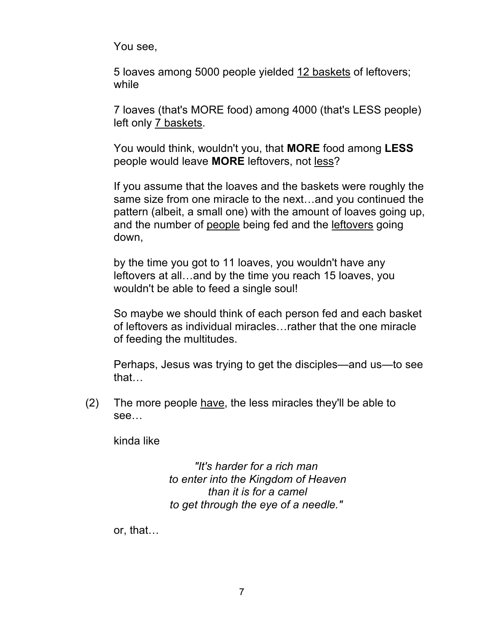You see,

5 loaves among 5000 people yielded 12 baskets of leftovers; while

7 loaves (that's MORE food) among 4000 (that's LESS people) left only 7 baskets.

You would think, wouldn't you, that **MORE** food among **LESS** people would leave **MORE** leftovers, not less?

If you assume that the loaves and the baskets were roughly the same size from one miracle to the next…and you continued the pattern (albeit, a small one) with the amount of loaves going up, and the number of people being fed and the leftovers going down,

by the time you got to 11 loaves, you wouldn't have any leftovers at all…and by the time you reach 15 loaves, you wouldn't be able to feed a single soul!

So maybe we should think of each person fed and each basket of leftovers as individual miracles…rather that the one miracle of feeding the multitudes.

Perhaps, Jesus was trying to get the disciples—and us—to see that…

 $(2)$  The more people have, the less miracles they'll be able to see…

kinda like

*"It's harder for a rich man to enter into the Kingdom of Heaven than it is for a camel to get through the eye of a needle."*

or, that…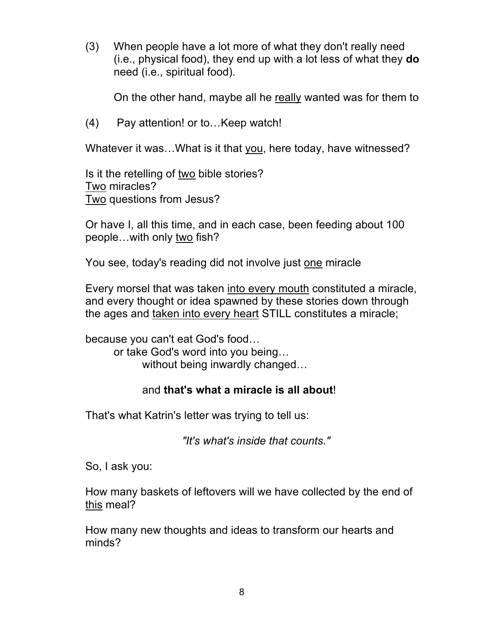(3) When people have a lot more of what they don't really need (i.e., physical food), they end up with a lot less of what they **do**  need (i.e., spiritual food).

On the other hand, maybe all he really wanted was for them to

(4) Pay attention! or to…Keep watch!

Whatever it was…What is it that you, here today, have witnessed?

Is it the retelling of two bible stories? Two miracles? Two questions from Jesus?

Or have I, all this time, and in each case, been feeding about 100 people…with only two fish?

You see, today's reading did not involve just one miracle

Every morsel that was taken into every mouth constituted a miracle, and every thought or idea spawned by these stories down through the ages and taken into every heart STILL constitutes a miracle;

because you can't eat God's food… or take God's word into you being… without being inwardly changed…

## and **that's what a miracle is all about**!

That's what Katrin's letter was trying to tell us:

*"It's what's inside that counts."*

So, I ask you:

How many baskets of leftovers will we have collected by the end of this meal?

How many new thoughts and ideas to transform our hearts and minds?